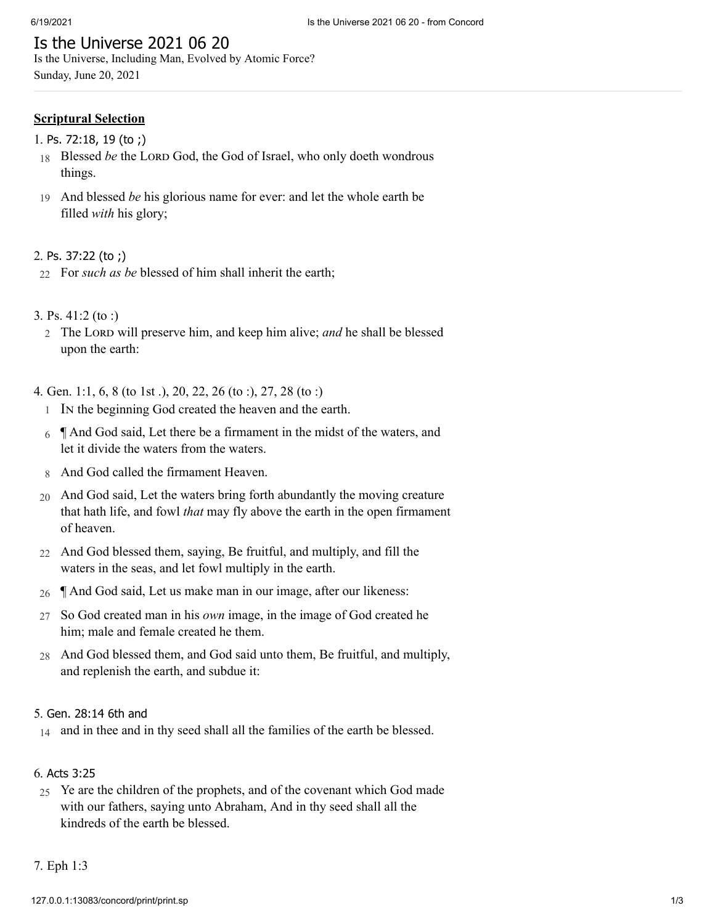# Is the Universe 2021 06 20

Is the Universe, Including Man, Evolved by Atomic Force? Sunday, June 20, 2021

# **Scriptural Selection**

- 1. Ps. [72:18,](http://www.concordworks.com/citation/Ps.%2072:18,%2019%20(to%20;)) 19 (to ;)
- 18 Blessed *be* the LORD God, the God of Israel, who only doeth wondrous things.
- 19 And blessed *be* his glorious name for ever: and let the whole earth be filled *with* his glory;

### 2. Ps. [37:22](http://www.concordworks.com/citation/Ps.%2037:22%20(to%20;)) (to ;)

- 22 For *such as be* blessed of him shall inherit the earth;
- 3. [Ps. 41:2 \(to :\)](http://www.concordworks.com/citation/Ps.%2041:2%20(to%20:))
	- 2 The Lord will preserve him, and keep him alive; *and* he shall be blessed upon the earth:

4. [Gen. 1:1, 6, 8 \(to 1st .\), 20, 22, 26 \(to :\), 27, 28 \(to :\)](http://www.concordworks.com/citation/Gen.%201:1,%206,%208%20(to%201st%20.),%2020,%2022,%2026%20(to%20:),%2027,%2028%20(to%20:))

- 1 In the beginning God created the heaven and the earth.
- 6  $\parallel$  And God said, Let there be a firmament in the midst of the waters, and let it divide the waters from the waters.
- 8 And God called the firmament Heaven.
- 20 And God said, Let the waters bring forth abundantly the moving creature that hath life, and fowl *that* may fly above the earth in the open firmament of heaven.
- 22 And God blessed them, saying, Be fruitful, and multiply, and fill the waters in the seas, and let fowl multiply in the earth.
- 26 ¶ And God said, Let us make man in our image, after our likeness:
- 27 So God created man in his *own* image, in the image of God created he him; male and female created he them.
- 28 And God blessed them, and God said unto them, Be fruitful, and multiply, and replenish the earth, and subdue it:

### 5. Gen. [28:14](http://www.concordworks.com/citation/Gen.%2028:14%206th%20and) 6th and

14 and in thee and in thy seed shall all the families of the earth be blessed.

### 6. Acts [3:25](http://www.concordworks.com/citation/Acts%203:25)

25 Ye are the children of the prophets, and of the covenant which God made with our fathers, saying unto Abraham, And in thy seed shall all the kindreds of the earth be blessed.

### 7. [Eph 1:3](http://www.concordworks.com/citation/Eph%201:3)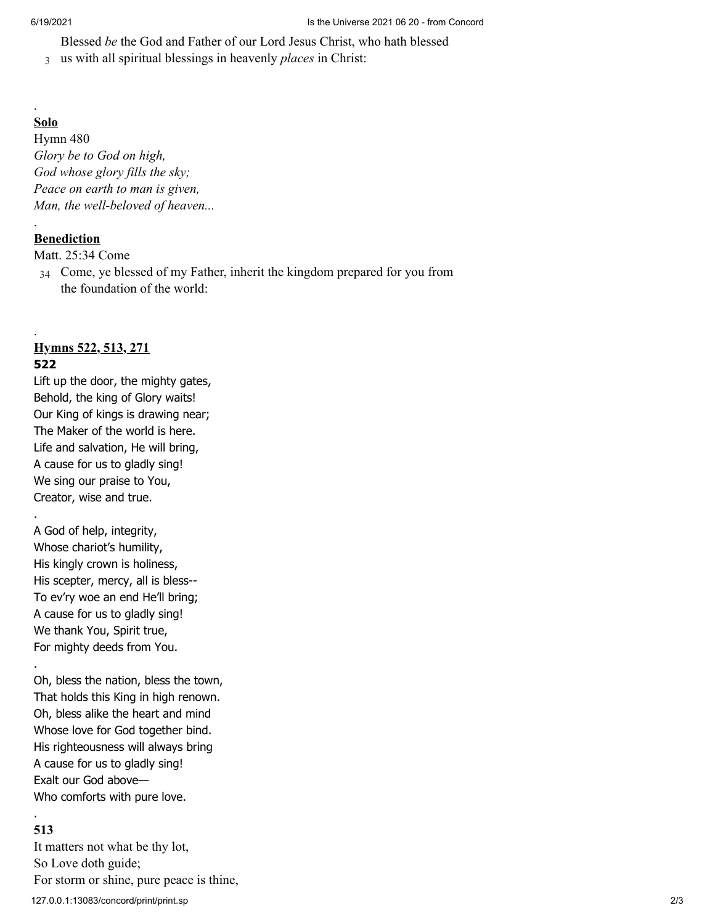Blessed *be* the God and Father of our Lord Jesus Christ, who hath blessed

3 us with all spiritual blessings in heavenly *places* in Christ:

### **Solo**

.

.

.

.

.

Hymn 480 *Glory be to God on high, God whose glory fills the sky; Peace on earth to man is given, Man, the well-beloved of heaven...*

# **Benediction**

[Matt. 25:34 Come](http://www.concordworks.com/citation/Matt.%2025:34%20Come)

34 Come, ye blessed of my Father, inherit the kingdom prepared for you from the foundation of the world:

# **Hymns 522, 513, 271 522**

Lift up the door, the mighty gates, Behold, the king of Glory waits! Our King of kings is drawing near; The Maker of the world is here. Life and salvation, He will bring, A cause for us to gladly sing! We sing our praise to You, Creator, wise and true.

A God of help, integrity, Whose chariot's humility, His kingly crown is holiness, His scepter, mercy, all is bless-- To ev'ry woe an end He'll bring; A cause for us to gladly sing! We thank You, Spirit true, For mighty deeds from You.

Oh, bless the nation, bless the town, That holds this King in high renown. Oh, bless alike the heart and mind Whose love for God together bind. His righteousness will always bring A cause for us to gladly sing! Exalt our God above— Who comforts with pure love.

# . **513**

127.0.0.1:13083/concord/print/print.sp 2/3 It matters not what be thy lot, So Love doth guide; For storm or shine, pure peace is thine,